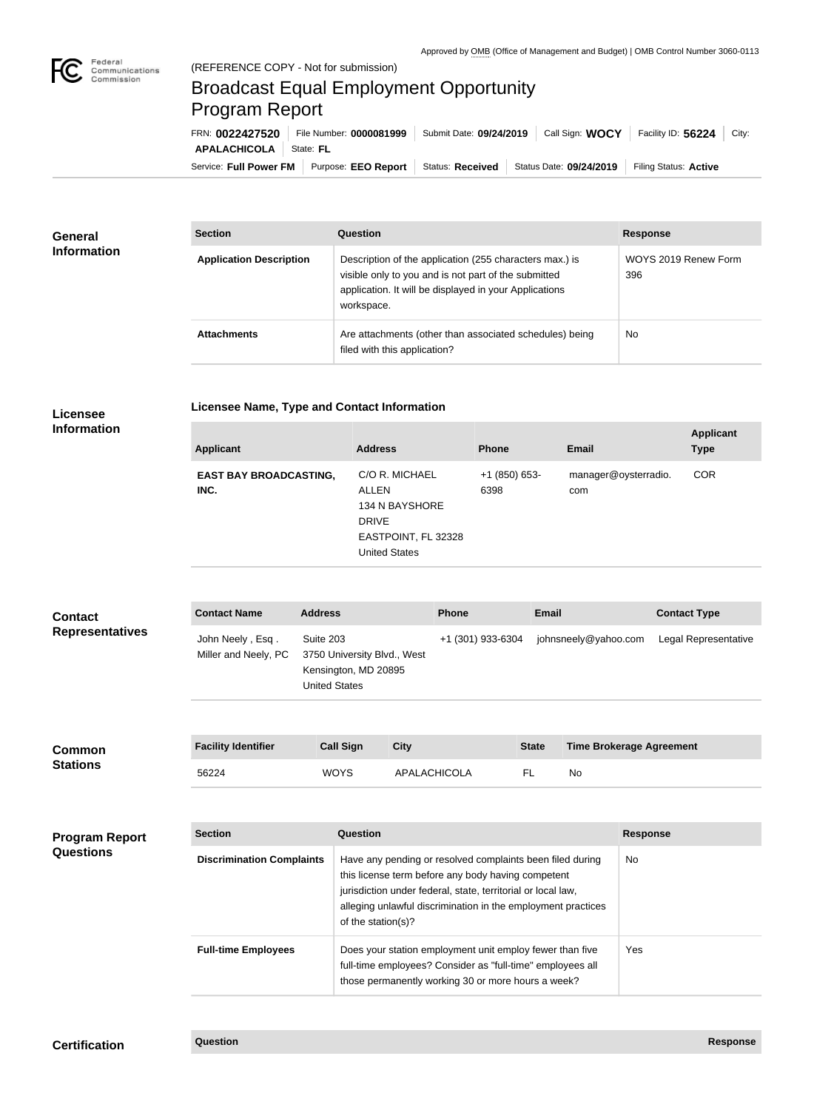

## Broadcast Equal Employment Opportunity Program Report

**Licensee Name, Type and Contact Information**

Service: Full Power FM | Purpose: EEO Report | Status: Received | Status Date: 09/24/2019 | Filing Status: Active **APALACHICOLA** State: FL FRN: **0022427520** File Number: **0000081999** Submit Date: **09/24/2019** Call Sign: **WOCY** Facility ID: **56224** City:

| <b>General</b><br><b>Information</b> | <b>Section</b>                 | Question                                                                                                                                                                                | <b>Response</b>             |  |
|--------------------------------------|--------------------------------|-----------------------------------------------------------------------------------------------------------------------------------------------------------------------------------------|-----------------------------|--|
|                                      | <b>Application Description</b> | Description of the application (255 characters max.) is<br>visible only to you and is not part of the submitted<br>application. It will be displayed in your Applications<br>workspace. | WOYS 2019 Renew Form<br>396 |  |
|                                      | <b>Attachments</b>             | Are attachments (other than associated schedules) being<br>filed with this application?                                                                                                 | <b>No</b>                   |  |

## **Licensee Information**

| <b>Applicant</b>                      | <b>Address</b>                                                                                           | <b>Phone</b>          | <b>Email</b>                | <b>Applicant</b><br><b>Type</b> |
|---------------------------------------|----------------------------------------------------------------------------------------------------------|-----------------------|-----------------------------|---------------------------------|
| <b>EAST BAY BROADCASTING,</b><br>INC. | C/O R. MICHAEL<br>ALLEN<br>134 N BAYSHORE<br><b>DRIVE</b><br>EASTPOINT, FL 32328<br><b>United States</b> | +1 (850) 653-<br>6398 | manager@oysterradio.<br>com | <b>COR</b>                      |

| <b>Contact</b><br><b>Representatives</b>  | <b>Contact Name</b>                      | <b>Address</b>                    |                                                                                                                                                                              | <b>Phone</b><br><b>Email</b> |                                                                                                                                                                                                                                                 |              | <b>Contact Type</b>             |                 |                      |
|-------------------------------------------|------------------------------------------|-----------------------------------|------------------------------------------------------------------------------------------------------------------------------------------------------------------------------|------------------------------|-------------------------------------------------------------------------------------------------------------------------------------------------------------------------------------------------------------------------------------------------|--------------|---------------------------------|-----------------|----------------------|
|                                           | John Neely, Esq.<br>Miller and Neely, PC | Suite 203<br><b>United States</b> | 3750 University Blvd., West<br>Kensington, MD 20895                                                                                                                          |                              | +1 (301) 933-6304                                                                                                                                                                                                                               |              | johnsneely@yahoo.com            |                 | Legal Representative |
| <b>Common</b><br><b>Stations</b>          | <b>Facility Identifier</b>               |                                   | <b>Call Sign</b>                                                                                                                                                             | <b>City</b>                  |                                                                                                                                                                                                                                                 | <b>State</b> | <b>Time Brokerage Agreement</b> |                 |                      |
|                                           | 56224                                    |                                   | <b>WOYS</b>                                                                                                                                                                  | APALACHICOLA                 |                                                                                                                                                                                                                                                 | FL.          | <b>No</b>                       |                 |                      |
| <b>Program Report</b><br><b>Questions</b> | <b>Section</b>                           |                                   | <b>Question</b>                                                                                                                                                              |                              |                                                                                                                                                                                                                                                 |              |                                 | <b>Response</b> |                      |
|                                           | <b>Discrimination Complaints</b>         |                                   | of the station(s)?                                                                                                                                                           |                              | Have any pending or resolved complaints been filed during<br>this license term before any body having competent<br>jurisdiction under federal, state, territorial or local law,<br>alleging unlawful discrimination in the employment practices |              |                                 | <b>No</b>       |                      |
|                                           | <b>Full-time Employees</b>               |                                   | Does your station employment unit employ fewer than five<br>full-time employees? Consider as "full-time" employees all<br>those permanently working 30 or more hours a week? |                              |                                                                                                                                                                                                                                                 |              | Yes                             |                 |                      |